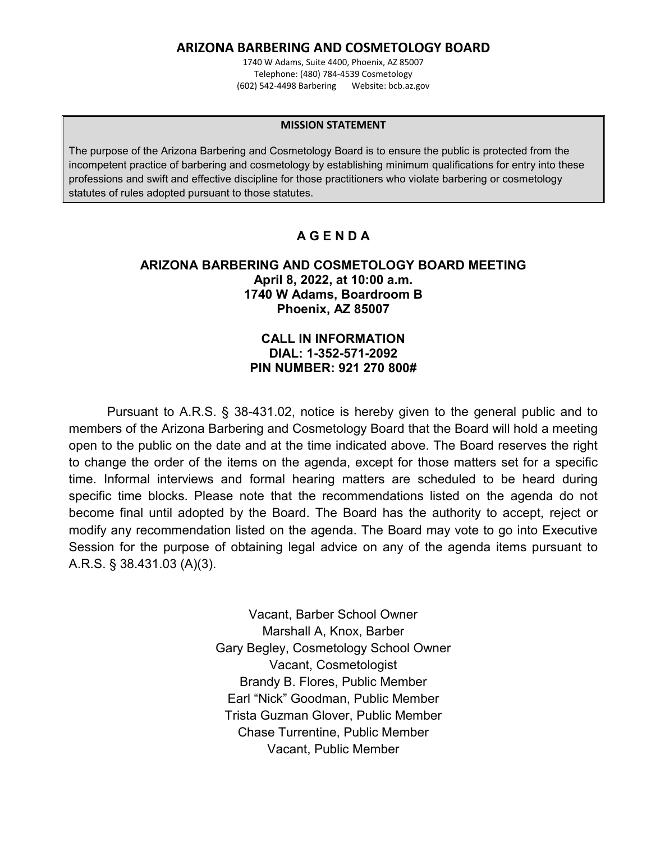1740 W Adams, Suite 4400, Phoenix, AZ 85007 Telephone: (480) 784-4539 Cosmetology (602) 542-4498 Barbering Website: bcb.az.gov

#### **MISSION STATEMENT**

The purpose of the Arizona Barbering and Cosmetology Board is to ensure the public is protected from the incompetent practice of barbering and cosmetology by establishing minimum qualifications for entry into these professions and swift and effective discipline for those practitioners who violate barbering or cosmetology statutes of rules adopted pursuant to those statutes.

## **A G E N D A**

#### **ARIZONA BARBERING AND COSMETOLOGY BOARD MEETING April 8, 2022, at 10:00 a.m. 1740 W Adams, Boardroom B Phoenix, AZ 85007**

#### **CALL IN INFORMATION DIAL: 1-352-571-2092 PIN NUMBER: 921 270 800#**

Pursuant to A.R.S. § 38-431.02, notice is hereby given to the general public and to members of the Arizona Barbering and Cosmetology Board that the Board will hold a meeting open to the public on the date and at the time indicated above. The Board reserves the right to change the order of the items on the agenda, except for those matters set for a specific time. Informal interviews and formal hearing matters are scheduled to be heard during specific time blocks. Please note that the recommendations listed on the agenda do not become final until adopted by the Board. The Board has the authority to accept, reject or modify any recommendation listed on the agenda. The Board may vote to go into Executive Session for the purpose of obtaining legal advice on any of the agenda items pursuant to A.R.S. § 38.431.03 (A)(3).

> Vacant, Barber School Owner Marshall A, Knox, Barber Gary Begley, Cosmetology School Owner Vacant, Cosmetologist Brandy B. Flores, Public Member Earl "Nick" Goodman, Public Member Trista Guzman Glover, Public Member Chase Turrentine, Public Member Vacant, Public Member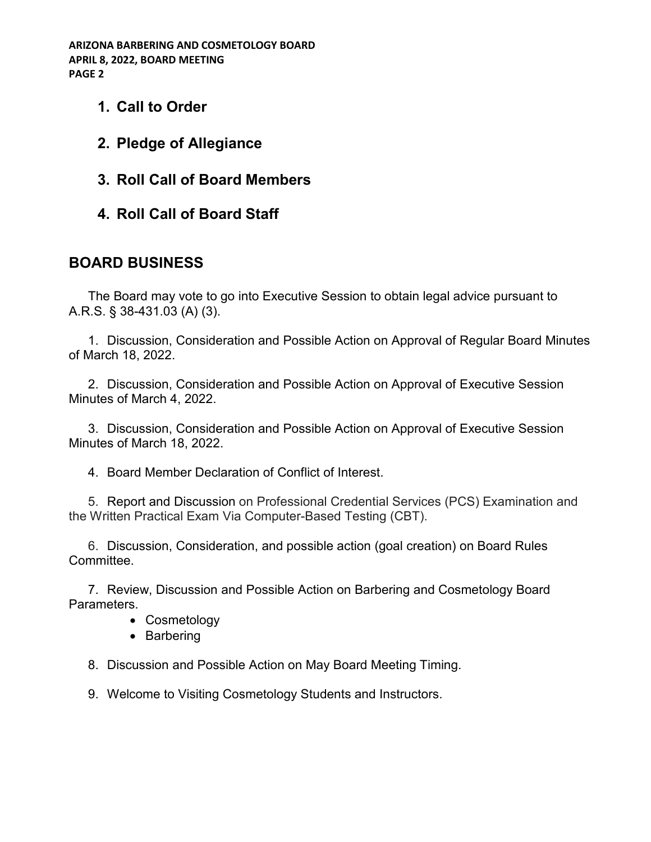**ARIZONA BARBERING AND COSMETOLOGY BOARD APRIL 8, 2022, BOARD MEETING PAGE 2**

- **1. Call to Order**
- **2. Pledge of Allegiance**
- **3. Roll Call of Board Members**
- **4. Roll Call of Board Staff**

# **BOARD BUSINESS**

The Board may vote to go into Executive Session to obtain legal advice pursuant to A.R.S. § 38-431.03 (A) (3).

1. Discussion, Consideration and Possible Action on Approval of Regular Board Minutes of March 18, 2022.

2. Discussion, Consideration and Possible Action on Approval of Executive Session Minutes of March 4, 2022.

3. Discussion, Consideration and Possible Action on Approval of Executive Session Minutes of March 18, 2022.

4. Board Member Declaration of Conflict of Interest.

5. Report and Discussion on Professional Credential Services (PCS) Examination and the Written Practical Exam Via Computer-Based Testing (CBT).

6. Discussion, Consideration, and possible action (goal creation) on Board Rules Committee.

7. Review, Discussion and Possible Action on Barbering and Cosmetology Board Parameters.

- Cosmetology
- Barbering

8. Discussion and Possible Action on May Board Meeting Timing.

9. Welcome to Visiting Cosmetology Students and Instructors.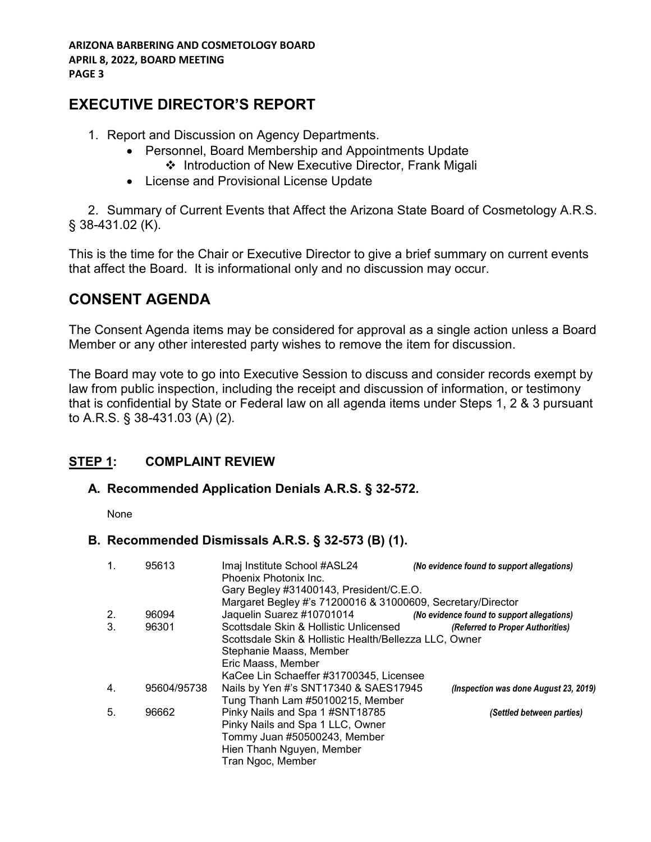# **EXECUTIVE DIRECTOR'S REPORT**

- 1. Report and Discussion on Agency Departments.
	- Personnel, Board Membership and Appointments Update
		- ❖ Introduction of New Executive Director, Frank Migali
	- License and Provisional License Update

2. Summary of Current Events that Affect the Arizona State Board of Cosmetology A.R.S. § 38-431.02 (K).

This is the time for the Chair or Executive Director to give a brief summary on current events that affect the Board. It is informational only and no discussion may occur.

# **CONSENT AGENDA**

The Consent Agenda items may be considered for approval as a single action unless a Board Member or any other interested party wishes to remove the item for discussion.

The Board may vote to go into Executive Session to discuss and consider records exempt by law from public inspection, including the receipt and discussion of information, or testimony that is confidential by State or Federal law on all agenda items under Steps 1, 2 & 3 pursuant to A.R.S. § 38-431.03 (A) (2).

## **STEP 1: COMPLAINT REVIEW**

**A. Recommended Application Denials A.R.S. § 32-572.**

None

## **B. Recommended Dismissals A.R.S. § 32-573 (B) (1).**

| 1. | 95613       | Imaj Institute School #ASL24<br>Phoenix Photonix Inc.       | (No evidence found to support allegations) |
|----|-------------|-------------------------------------------------------------|--------------------------------------------|
|    |             | Gary Begley #31400143, President/C.E.O.                     |                                            |
|    |             | Margaret Begley #'s 71200016 & 31000609, Secretary/Director |                                            |
| 2. | 96094       | Jaquelin Suarez #10701014                                   | (No evidence found to support allegations) |
| 3. | 96301       | Scottsdale Skin & Hollistic Unlicensed                      | (Referred to Proper Authorities)           |
|    |             | Scottsdale Skin & Hollistic Health/Bellezza LLC, Owner      |                                            |
|    |             | Stephanie Maass, Member                                     |                                            |
|    |             | Eric Maass, Member                                          |                                            |
|    |             | KaCee Lin Schaeffer #31700345, Licensee                     |                                            |
| 4. | 95604/95738 | Nails by Yen #'s SNT17340 & SAES17945                       | (Inspection was done August 23, 2019)      |
|    |             | Tung Thanh Lam #50100215, Member                            |                                            |
| 5. | 96662       | Pinky Nails and Spa 1 #SNT18785                             | (Settled between parties)                  |
|    |             | Pinky Nails and Spa 1 LLC, Owner                            |                                            |
|    |             | Tommy Juan #50500243, Member                                |                                            |
|    |             | Hien Thanh Nguyen, Member                                   |                                            |
|    |             | Tran Ngoc, Member                                           |                                            |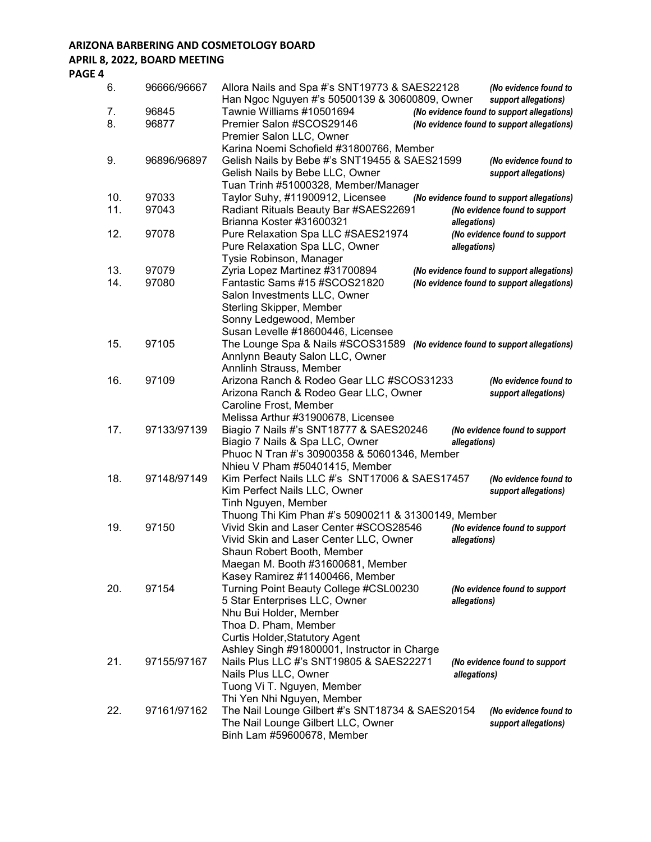#### **APRIL 8, 2022, BOARD MEETING**

| 6.  | 96666/96667 | Allora Nails and Spa #'s SNT19773 & SAES22128<br>(No evidence found to                                                                            |
|-----|-------------|---------------------------------------------------------------------------------------------------------------------------------------------------|
| 7.  | 96845       | Han Ngoc Nguyen #'s 50500139 & 30600809, Owner<br>support allegations)<br>Tawnie Williams #10501694<br>(No evidence found to support allegations) |
| 8.  | 96877       | Premier Salon #SCOS29146<br>(No evidence found to support allegations)                                                                            |
|     |             | Premier Salon LLC, Owner                                                                                                                          |
|     |             | Karina Noemi Schofield #31800766, Member                                                                                                          |
| 9.  | 96896/96897 | Gelish Nails by Bebe #'s SNT19455 & SAES21599<br>(No evidence found to                                                                            |
|     |             | Gelish Nails by Bebe LLC, Owner<br>support allegations)                                                                                           |
|     |             | Tuan Trinh #51000328, Member/Manager                                                                                                              |
| 10. | 97033       | Taylor Suhy, #11900912, Licensee<br>(No evidence found to support allegations)                                                                    |
| 11. | 97043       | Radiant Rituals Beauty Bar #SAES22691<br>(No evidence found to support                                                                            |
|     |             | Brianna Koster #31600321<br>allegations)                                                                                                          |
| 12. | 97078       | Pure Relaxation Spa LLC #SAES21974<br>(No evidence found to support                                                                               |
|     |             | Pure Relaxation Spa LLC, Owner<br>allegations)<br>Tysie Robinson, Manager                                                                         |
| 13. | 97079       | Zyria Lopez Martinez #31700894<br>(No evidence found to support allegations)                                                                      |
| 14. | 97080       | Fantastic Sams #15 #SCOS21820<br>(No evidence found to support allegations)                                                                       |
|     |             | Salon Investments LLC, Owner                                                                                                                      |
|     |             | <b>Sterling Skipper, Member</b>                                                                                                                   |
|     |             | Sonny Ledgewood, Member                                                                                                                           |
|     |             | Susan Levelle #18600446, Licensee                                                                                                                 |
| 15. | 97105       | The Lounge Spa & Nails #SCOS31589<br>(No evidence found to support allegations)                                                                   |
|     |             | Annlynn Beauty Salon LLC, Owner                                                                                                                   |
|     |             | Annlinh Strauss, Member                                                                                                                           |
| 16. | 97109       | Arizona Ranch & Rodeo Gear LLC #SCOS31233<br>(No evidence found to                                                                                |
|     |             | Arizona Ranch & Rodeo Gear LLC, Owner<br>support allegations)                                                                                     |
|     |             | Caroline Frost, Member<br>Melissa Arthur #31900678, Licensee                                                                                      |
| 17. | 97133/97139 | Biagio 7 Nails #'s SNT18777 & SAES20246<br>(No evidence found to support                                                                          |
|     |             | Biagio 7 Nails & Spa LLC, Owner<br>allegations)                                                                                                   |
|     |             | Phuoc N Tran #'s 30900358 & 50601346, Member                                                                                                      |
|     |             | Nhieu V Pham #50401415, Member                                                                                                                    |
| 18. | 97148/97149 | Kim Perfect Nails LLC #'s SNT17006 & SAES17457<br>(No evidence found to                                                                           |
|     |             | Kim Perfect Nails LLC, Owner<br>support allegations)                                                                                              |
|     |             | Tinh Nguyen, Member                                                                                                                               |
|     |             | Thuong Thi Kim Phan #'s 50900211 & 31300149, Member                                                                                               |
| 19. | 97150       | Vivid Skin and Laser Center #SCOS28546<br>(No evidence found to support                                                                           |
|     |             | Vivid Skin and Laser Center LLC, Owner<br>allegations)                                                                                            |
|     |             | Shaun Robert Booth, Member<br>Maegan M. Booth #31600681, Member                                                                                   |
|     |             | Kasey Ramirez #11400466, Member                                                                                                                   |
| 20. | 97154       | Turning Point Beauty College #CSL00230<br>(No evidence found to support                                                                           |
|     |             | 5 Star Enterprises LLC, Owner<br>allegations)                                                                                                     |
|     |             | Nhu Bui Holder, Member                                                                                                                            |
|     |             | Thoa D. Pham, Member                                                                                                                              |
|     |             | <b>Curtis Holder, Statutory Agent</b>                                                                                                             |
|     |             | Ashley Singh #91800001, Instructor in Charge                                                                                                      |
| 21. | 97155/97167 | Nails Plus LLC #'s SNT19805 & SAES22271<br>(No evidence found to support                                                                          |
|     |             | Nails Plus LLC, Owner<br>allegations)                                                                                                             |
|     |             | Tuong Vi T. Nguyen, Member                                                                                                                        |
| 22. | 97161/97162 | Thi Yen Nhi Nguyen, Member<br>The Nail Lounge Gilbert #'s SNT18734 & SAES20154<br>(No evidence found to                                           |
|     |             | The Nail Lounge Gilbert LLC, Owner<br>support allegations)                                                                                        |
|     |             | Binh Lam #59600678, Member                                                                                                                        |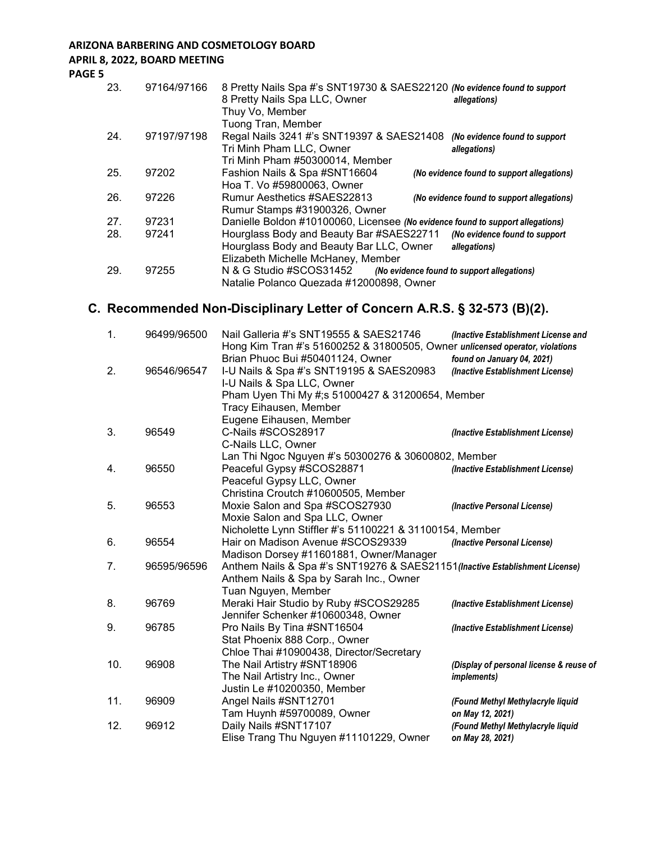#### **APRIL 8, 2022, BOARD MEETING**

**PAGE 5**

| 23. | 97164/97166 | 8 Pretty Nails Spa #'s SNT19730 & SAES22120 (No evidence found to support<br>8 Pretty Nails Spa LLC, Owner<br>allegations) |
|-----|-------------|----------------------------------------------------------------------------------------------------------------------------|
|     |             | Thuy Vo, Member                                                                                                            |
|     |             | Tuong Tran, Member                                                                                                         |
| 24. | 97197/97198 | Regal Nails 3241 #'s SNT19397 & SAES21408 (No evidence found to support                                                    |
|     |             | Tri Minh Pham LLC, Owner<br>allegations)                                                                                   |
|     |             | Tri Minh Pham #50300014, Member                                                                                            |
| 25. | 97202       | Fashion Nails & Spa #SNT16604<br>(No evidence found to support allegations)                                                |
|     |             | Hoa T. Vo #59800063, Owner                                                                                                 |
| 26. | 97226       | Rumur Aesthetics #SAES22813<br>(No evidence found to support allegations)                                                  |
|     |             | Rumur Stamps #31900326, Owner                                                                                              |
| 27. | 97231       | Danielle Boldon #10100060, Licensee (No evidence found to support allegations)                                             |
| 28. | 97241       | Hourglass Body and Beauty Bar #SAES22711<br>(No evidence found to support                                                  |
|     |             | Hourglass Body and Beauty Bar LLC, Owner<br>allegations)                                                                   |
|     |             | Elizabeth Michelle McHaney, Member                                                                                         |
| 29. | 97255       | N & G Studio #SCOS31452<br>(No evidence found to support allegations)                                                      |
|     |             | Natalie Polanco Quezada #12000898, Owner                                                                                   |

# **C. Recommended Non-Disciplinary Letter of Concern A.R.S. § 32-573 (B)(2).**

| 1.  | 96499/96500 | Nail Galleria #'s SNT19555 & SAES21746<br>Hong Kim Tran #'s 51600252 & 31800505, Owner unlicensed operator, violations | (Inactive Establishment License and     |  |  |
|-----|-------------|------------------------------------------------------------------------------------------------------------------------|-----------------------------------------|--|--|
|     |             | Brian Phuoc Bui #50401124, Owner                                                                                       | found on January 04, 2021)              |  |  |
| 2.  | 96546/96547 | I-U Nails & Spa #'s SNT19195 & SAES20983                                                                               | (Inactive Establishment License)        |  |  |
|     |             | I-U Nails & Spa LLC, Owner                                                                                             |                                         |  |  |
|     |             | Pham Uyen Thi My #;s 51000427 & 31200654, Member                                                                       |                                         |  |  |
|     |             | Tracy Eihausen, Member                                                                                                 |                                         |  |  |
|     |             | Eugene Eihausen, Member                                                                                                |                                         |  |  |
| 3.  | 96549       | C-Nails #SCOS28917                                                                                                     | (Inactive Establishment License)        |  |  |
|     |             | C-Nails LLC, Owner                                                                                                     |                                         |  |  |
|     |             | Lan Thi Ngoc Nguyen #'s 50300276 & 30600802, Member                                                                    |                                         |  |  |
| 4.  | 96550       | Peaceful Gypsy #SCOS28871                                                                                              | (Inactive Establishment License)        |  |  |
|     |             | Peaceful Gypsy LLC, Owner                                                                                              |                                         |  |  |
|     |             | Christina Croutch #10600505, Member                                                                                    |                                         |  |  |
| 5.  | 96553       | Moxie Salon and Spa #SCOS27930                                                                                         | (Inactive Personal License)             |  |  |
|     |             | Moxie Salon and Spa LLC, Owner                                                                                         |                                         |  |  |
|     |             | Nicholette Lynn Stiffler #'s 51100221 & 31100154, Member                                                               |                                         |  |  |
| 6.  | 96554       | Hair on Madison Avenue #SCOS29339                                                                                      | (Inactive Personal License)             |  |  |
|     |             | Madison Dorsey #11601881, Owner/Manager                                                                                |                                         |  |  |
| 7.  | 96595/96596 | Anthem Nails & Spa #'s SNT19276 & SAES21151 (Inactive Establishment License)                                           |                                         |  |  |
|     |             | Anthem Nails & Spa by Sarah Inc., Owner                                                                                |                                         |  |  |
|     |             | Tuan Nguyen, Member                                                                                                    |                                         |  |  |
| 8.  | 96769       | Meraki Hair Studio by Ruby #SCOS29285                                                                                  | (Inactive Establishment License)        |  |  |
|     |             | Jennifer Schenker #10600348, Owner                                                                                     |                                         |  |  |
| 9.  | 96785       | Pro Nails By Tina #SNT16504                                                                                            | (Inactive Establishment License)        |  |  |
|     |             | Stat Phoenix 888 Corp., Owner                                                                                          |                                         |  |  |
|     |             | Chloe Thai #10900438, Director/Secretary                                                                               |                                         |  |  |
| 10. | 96908       | The Nail Artistry #SNT18906                                                                                            | (Display of personal license & reuse of |  |  |
|     |             | The Nail Artistry Inc., Owner                                                                                          | <i>implements)</i>                      |  |  |
|     |             | Justin Le #10200350, Member                                                                                            |                                         |  |  |
| 11. | 96909       | Angel Nails #SNT12701                                                                                                  | (Found Methyl Methylacryle liquid       |  |  |
|     |             | Tam Huynh #59700089, Owner                                                                                             | on May 12, 2021)                        |  |  |
| 12. | 96912       | Daily Nails #SNT17107                                                                                                  | (Found Methyl Methylacryle liquid       |  |  |
|     |             | Elise Trang Thu Nguyen #11101229, Owner                                                                                | on May 28, 2021)                        |  |  |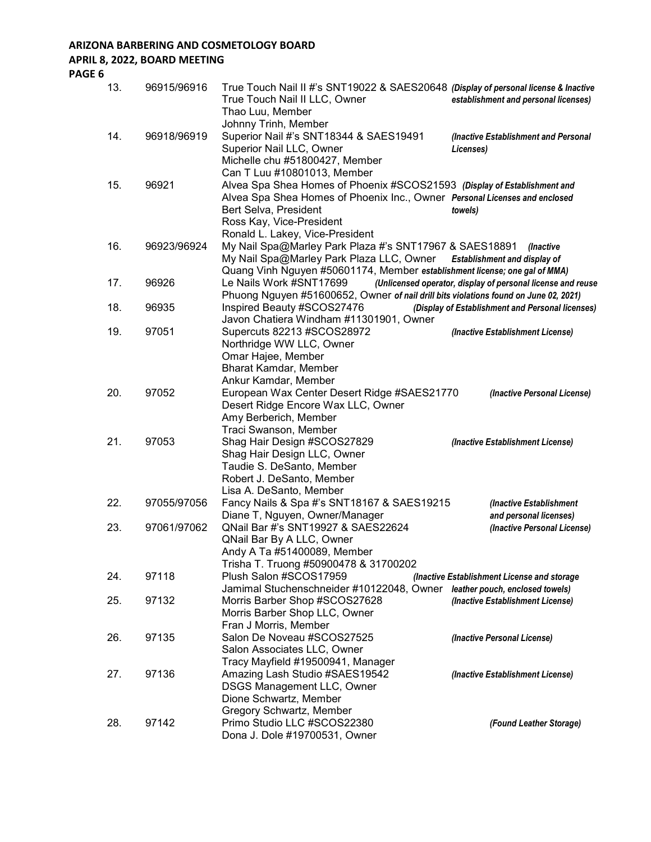#### **APRIL 8, 2022, BOARD MEETING**

| 13. | 96915/96916 | True Touch Nail II #'s SNT19022 & SAES20648 (Display of personal license & Inactive<br>True Touch Nail II LLC, Owner<br>establishment and personal licenses)                                                                                                 |
|-----|-------------|--------------------------------------------------------------------------------------------------------------------------------------------------------------------------------------------------------------------------------------------------------------|
|     |             | Thao Luu, Member<br>Johnny Trinh, Member                                                                                                                                                                                                                     |
| 14. | 96918/96919 | Superior Nail #'s SNT18344 & SAES19491<br>(Inactive Establishment and Personal<br>Superior Nail LLC, Owner<br>Licenses)<br>Michelle chu #51800427, Member                                                                                                    |
| 15. | 96921       | Can T Luu #10801013, Member<br>Alvea Spa Shea Homes of Phoenix #SCOS21593 (Display of Establishment and<br>Alvea Spa Shea Homes of Phoenix Inc., Owner Personal Licenses and enclosed<br>Bert Selva, President<br>towels)                                    |
| 16. | 96923/96924 | Ross Kay, Vice-President<br>Ronald L. Lakey, Vice-President<br>My Nail Spa@Marley Park Plaza #'s SNT17967 & SAES18891<br>( <i>Inactive</i><br>My Nail Spa@Marley Park Plaza LLC, Owner Establishment and display of                                          |
| 17. | 96926       | Quang Vinh Nguyen #50601174, Member establishment license; one gal of MMA)<br>Le Nails Work #SNT17699<br>(Unlicensed operator, display of personal license and reuse<br>Phuong Nguyen #51600652, Owner of nail drill bits violations found on June 02, 2021) |
| 18. | 96935       | Inspired Beauty #SCOS27476<br>(Display of Establishment and Personal licenses)<br>Javon Chatiera Windham #11301901, Owner                                                                                                                                    |
| 19. | 97051       | Supercuts 82213 #SCOS28972<br>(Inactive Establishment License)<br>Northridge WW LLC, Owner<br>Omar Hajee, Member                                                                                                                                             |
|     |             | Bharat Kamdar, Member<br>Ankur Kamdar, Member                                                                                                                                                                                                                |
| 20. | 97052       | European Wax Center Desert Ridge #SAES21770<br>(Inactive Personal License)                                                                                                                                                                                   |
|     |             | Desert Ridge Encore Wax LLC, Owner<br>Amy Berberich, Member                                                                                                                                                                                                  |
|     |             | Traci Swanson, Member                                                                                                                                                                                                                                        |
| 21. | 97053       | Shag Hair Design #SCOS27829<br>(Inactive Establishment License)                                                                                                                                                                                              |
|     |             | Shag Hair Design LLC, Owner<br>Taudie S. DeSanto, Member                                                                                                                                                                                                     |
|     |             | Robert J. DeSanto, Member                                                                                                                                                                                                                                    |
|     |             | Lisa A. DeSanto, Member                                                                                                                                                                                                                                      |
| 22. | 97055/97056 | Fancy Nails & Spa #'s SNT18167 & SAES19215<br>(Inactive Establishment                                                                                                                                                                                        |
| 23. | 97061/97062 | Diane T, Nguyen, Owner/Manager<br>and personal licenses)<br>QNail Bar #'s SNT19927 & SAES22624<br>(Inactive Personal License)                                                                                                                                |
|     |             | QNail Bar By A LLC, Owner                                                                                                                                                                                                                                    |
|     |             | Andy A Ta #51400089, Member                                                                                                                                                                                                                                  |
|     |             | Trisha T. Truong #50900478 & 31700202                                                                                                                                                                                                                        |
| 24. | 97118       | Plush Salon #SCOS17959<br>(Inactive Establishment License and storage<br>Jamimal Stuchenschneider #10122048, Owner                                                                                                                                           |
| 25. | 97132       | leather pouch, enclosed towels)<br>Morris Barber Shop #SCOS27628<br>(Inactive Establishment License)                                                                                                                                                         |
|     |             | Morris Barber Shop LLC, Owner                                                                                                                                                                                                                                |
|     |             | Fran J Morris, Member                                                                                                                                                                                                                                        |
| 26. | 97135       | Salon De Noveau #SCOS27525<br>(Inactive Personal License)                                                                                                                                                                                                    |
|     |             | Salon Associates LLC, Owner<br>Tracy Mayfield #19500941, Manager                                                                                                                                                                                             |
| 27. | 97136       | Amazing Lash Studio #SAES19542<br>(Inactive Establishment License)                                                                                                                                                                                           |
|     |             | <b>DSGS Management LLC, Owner</b>                                                                                                                                                                                                                            |
|     |             | Dione Schwartz, Member                                                                                                                                                                                                                                       |
|     |             | Gregory Schwartz, Member                                                                                                                                                                                                                                     |
| 28. | 97142       | Primo Studio LLC #SCOS22380<br>(Found Leather Storage)                                                                                                                                                                                                       |
|     |             | Dona J. Dole #19700531, Owner                                                                                                                                                                                                                                |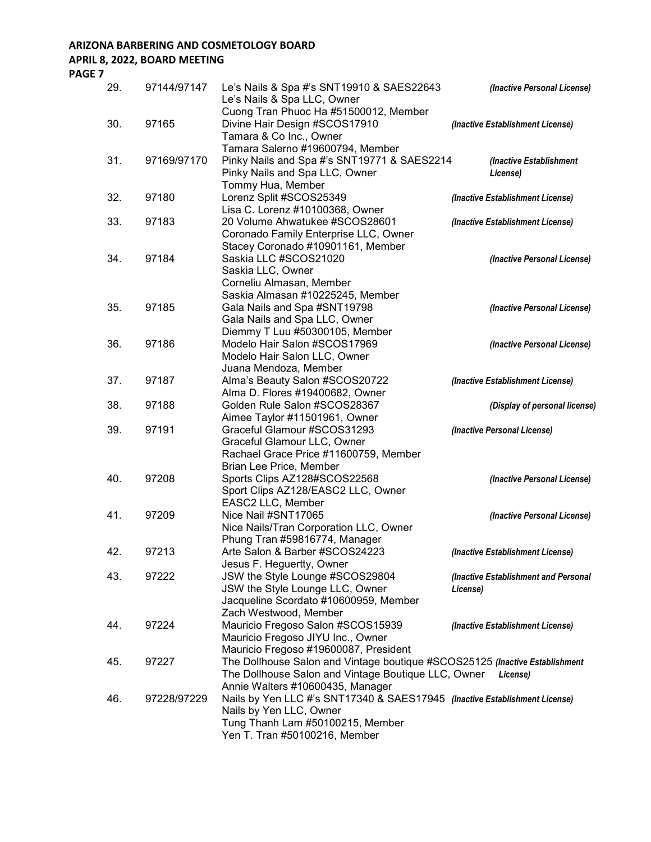#### **APRIL 8, 2022, BOARD MEETING**

| 29. | 97144/97147 | Le's Nails & Spa #'s SNT19910 & SAES22643<br>Le's Nails & Spa LLC, Owner                                                                                                                                       | (Inactive Personal License)                      |
|-----|-------------|----------------------------------------------------------------------------------------------------------------------------------------------------------------------------------------------------------------|--------------------------------------------------|
| 30. | 97165       | Cuong Tran Phuoc Ha #51500012, Member<br>Divine Hair Design #SCOS17910<br>Tamara & Co Inc., Owner                                                                                                              | (Inactive Establishment License)                 |
| 31. | 97169/97170 | Tamara Salerno #19600794, Member<br>Pinky Nails and Spa #'s SNT19771 & SAES2214<br>Pinky Nails and Spa LLC, Owner                                                                                              | (Inactive Establishment<br>License)              |
| 32. | 97180       | Tommy Hua, Member<br>Lorenz Split #SCOS25349<br>Lisa C. Lorenz #10100368, Owner                                                                                                                                | (Inactive Establishment License)                 |
| 33. | 97183       | 20 Volume Ahwatukee #SCOS28601<br>Coronado Family Enterprise LLC, Owner                                                                                                                                        | (Inactive Establishment License)                 |
| 34. | 97184       | Stacey Coronado #10901161, Member<br>Saskia LLC #SCOS21020<br>Saskia LLC, Owner<br>Corneliu Almasan, Member                                                                                                    | (Inactive Personal License)                      |
| 35. | 97185       | Saskia Almasan #10225245, Member<br>Gala Nails and Spa #SNT19798<br>Gala Nails and Spa LLC, Owner<br>Diemmy T Luu #50300105, Member                                                                            | (Inactive Personal License)                      |
| 36. | 97186       | Modelo Hair Salon #SCOS17969<br>Modelo Hair Salon LLC, Owner                                                                                                                                                   | (Inactive Personal License)                      |
| 37. | 97187       | Juana Mendoza, Member<br>Alma's Beauty Salon #SCOS20722<br>Alma D. Flores #19400682, Owner                                                                                                                     | (Inactive Establishment License)                 |
| 38. | 97188       | Golden Rule Salon #SCOS28367<br>Aimee Taylor #11501961, Owner                                                                                                                                                  | (Display of personal license)                    |
| 39. | 97191       | Graceful Glamour #SCOS31293<br>Graceful Glamour LLC, Owner<br>Rachael Grace Price #11600759, Member<br>Brian Lee Price, Member                                                                                 | (Inactive Personal License)                      |
| 40. | 97208       | Sports Clips AZ128#SCOS22568<br>Sport Clips AZ128/EASC2 LLC, Owner<br>EASC2 LLC, Member                                                                                                                        | (Inactive Personal License)                      |
| 41. | 97209       | Nice Nail #SNT17065<br>Nice Nails/Tran Corporation LLC, Owner<br>Phung Tran #59816774, Manager                                                                                                                 | (Inactive Personal License)                      |
| 42. | 97213       | Arte Salon & Barber #SCOS24223<br>Jesus F. Heguertty, Owner                                                                                                                                                    | (Inactive Establishment License)                 |
| 43. | 97222       | JSW the Style Lounge #SCOS29804<br>JSW the Style Lounge LLC, Owner<br>Jacqueline Scordato #10600959, Member<br>Zach Westwood, Member                                                                           | (Inactive Establishment and Personal<br>License) |
| 44. | 97224       | Mauricio Fregoso Salon #SCOS15939<br>Mauricio Fregoso JIYU Inc., Owner<br>Mauricio Fregoso #19600087, President                                                                                                | (Inactive Establishment License)                 |
| 45. | 97227       | The Dollhouse Salon and Vintage boutique #SCOS25125 (Inactive Establishment<br>The Dollhouse Salon and Vintage Boutique LLC, Owner                                                                             | License)                                         |
| 46. | 97228/97229 | Annie Walters #10600435, Manager<br>Nails by Yen LLC #'s SNT17340 & SAES17945 (Inactive Establishment License)<br>Nails by Yen LLC, Owner<br>Tung Thanh Lam #50100215, Member<br>Yen T. Tran #50100216, Member |                                                  |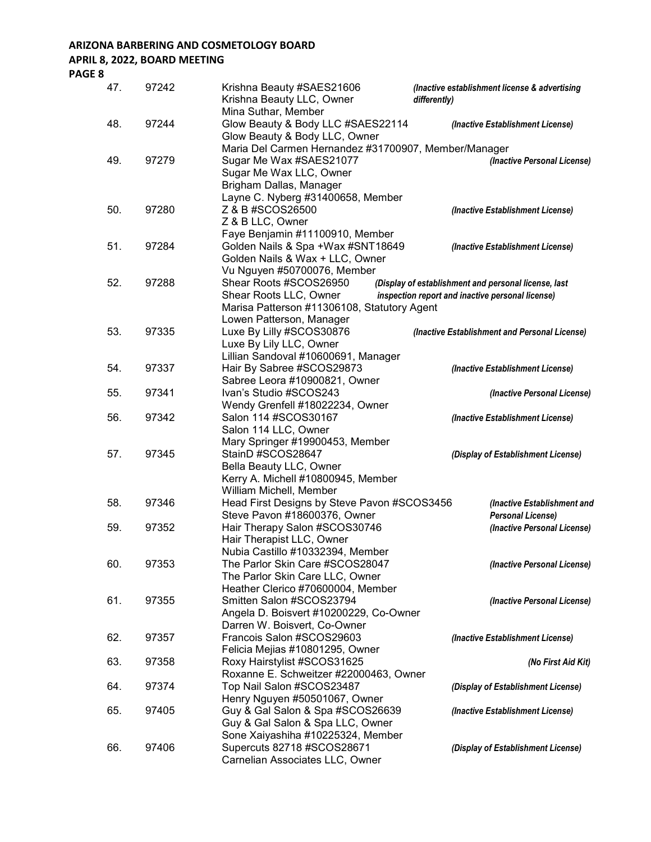#### **APRIL 8, 2022, BOARD MEETING**

| 47. | 97242 | Krishna Beauty #SAES21606<br>Krishna Beauty LLC, Owner<br>Mina Suthar, Member                                                                    | (Inactive establishment license & advertising<br>differently)                                            |
|-----|-------|--------------------------------------------------------------------------------------------------------------------------------------------------|----------------------------------------------------------------------------------------------------------|
| 48. | 97244 | Glow Beauty & Body LLC #SAES22114<br>Glow Beauty & Body LLC, Owner                                                                               | (Inactive Establishment License)                                                                         |
| 49. | 97279 | Maria Del Carmen Hernandez #31700907, Member/Manager<br>Sugar Me Wax #SAES21077<br>Sugar Me Wax LLC, Owner<br>Brigham Dallas, Manager            | (Inactive Personal License)                                                                              |
| 50. | 97280 | Layne C. Nyberg #31400658, Member<br>Z & B #SCOS26500<br>Z & B LLC, Owner                                                                        | (Inactive Establishment License)                                                                         |
| 51. | 97284 | Faye Benjamin #11100910, Member<br>Golden Nails & Spa +Wax #SNT18649<br>Golden Nails & Wax + LLC, Owner<br>Vu Nguyen #50700076, Member           | (Inactive Establishment License)                                                                         |
| 52. | 97288 | Shear Roots #SCOS26950<br>Shear Roots LLC, Owner<br>Marisa Patterson #11306108, Statutory Agent                                                  | (Display of establishment and personal license, last<br>inspection report and inactive personal license) |
| 53. | 97335 | Lowen Patterson, Manager<br>Luxe By Lilly #SCOS30876<br>Luxe By Lily LLC, Owner                                                                  | (Inactive Establishment and Personal License)                                                            |
| 54. | 97337 | Lillian Sandoval #10600691, Manager<br>Hair By Sabree #SCOS29873<br>Sabree Leora #10900821, Owner                                                | (Inactive Establishment License)                                                                         |
| 55. | 97341 | Ivan's Studio #SCOS243<br>Wendy Grenfell #18022234, Owner                                                                                        | (Inactive Personal License)                                                                              |
| 56. | 97342 | Salon 114 #SCOS30167<br>Salon 114 LLC, Owner                                                                                                     | (Inactive Establishment License)                                                                         |
| 57. | 97345 | Mary Springer #19900453, Member<br>StainD #SCOS28647<br>Bella Beauty LLC, Owner<br>Kerry A. Michell #10800945, Member<br>William Michell, Member | (Display of Establishment License)                                                                       |
| 58. | 97346 | Head First Designs by Steve Pavon #SCOS3456<br>Steve Pavon #18600376, Owner                                                                      | (Inactive Establishment and<br><b>Personal License)</b>                                                  |
| 59. | 97352 | Hair Therapy Salon #SCOS30746<br>Hair Therapist LLC, Owner                                                                                       | (Inactive Personal License)                                                                              |
| 60. | 97353 | Nubia Castillo #10332394, Member<br>The Parlor Skin Care #SCOS28047<br>The Parlor Skin Care LLC, Owner<br>Heather Clerico #70600004, Member      | (Inactive Personal License)                                                                              |
| 61. | 97355 | Smitten Salon #SCOS23794<br>Angela D. Boisvert #10200229, Co-Owner                                                                               | (Inactive Personal License)                                                                              |
| 62. | 97357 | Darren W. Boisvert, Co-Owner<br>Francois Salon #SCOS29603<br>Felicia Mejias #10801295, Owner                                                     | (Inactive Establishment License)                                                                         |
| 63. | 97358 | Roxy Hairstylist #SCOS31625<br>Roxanne E. Schweitzer #22000463, Owner                                                                            | (No First Aid Kit)                                                                                       |
| 64. | 97374 | Top Nail Salon #SCOS23487<br>Henry Nguyen #50501067, Owner                                                                                       | (Display of Establishment License)                                                                       |
| 65. | 97405 | Guy & Gal Salon & Spa #SCOS26639<br>Guy & Gal Salon & Spa LLC, Owner<br>Sone Xaiyashiha #10225324, Member                                        | (Inactive Establishment License)                                                                         |
| 66. | 97406 | Supercuts 82718 #SCOS28671<br>Carnelian Associates LLC, Owner                                                                                    | (Display of Establishment License)                                                                       |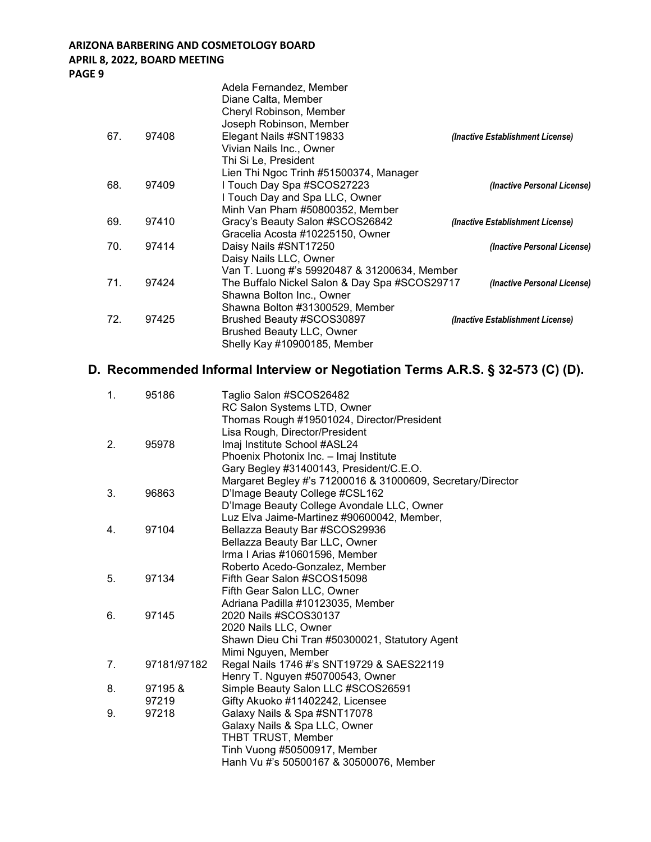**ARIZONA BARBERING AND COSMETOLOGY BOARD APRIL 8, 2022, BOARD MEETING**

#### **PAGE 9**

|     |       | Adela Fernandez, Member                       |                                  |
|-----|-------|-----------------------------------------------|----------------------------------|
|     |       | Diane Calta, Member                           |                                  |
|     |       | Cheryl Robinson, Member                       |                                  |
|     |       | Joseph Robinson, Member                       |                                  |
| 67. | 97408 | Elegant Nails #SNT19833                       | (Inactive Establishment License) |
|     |       | Vivian Nails Inc., Owner                      |                                  |
|     |       | Thi Si Le, President                          |                                  |
|     |       | Lien Thi Ngoc Trinh #51500374, Manager        |                                  |
| 68. | 97409 | I Touch Day Spa #SCOS27223                    | (Inactive Personal License)      |
|     |       | I Touch Day and Spa LLC, Owner                |                                  |
|     |       | Minh Van Pham #50800352, Member               |                                  |
| 69. | 97410 | Gracy's Beauty Salon #SCOS26842               | (Inactive Establishment License) |
|     |       | Gracelia Acosta #10225150, Owner              |                                  |
| 70. | 97414 | Daisy Nails #SNT17250                         | (Inactive Personal License)      |
|     |       | Daisy Nails LLC, Owner                        |                                  |
|     |       | Van T. Luong #'s 59920487 & 31200634, Member  |                                  |
| 71. | 97424 | The Buffalo Nickel Salon & Day Spa #SCOS29717 | (Inactive Personal License)      |
|     |       | Shawna Bolton Inc., Owner                     |                                  |
|     |       | Shawna Bolton #31300529, Member               |                                  |
| 72. | 97425 | Brushed Beauty #SCOS30897                     | (Inactive Establishment License) |
|     |       | <b>Brushed Beauty LLC, Owner</b>              |                                  |
|     |       | Shelly Kay #10900185, Member                  |                                  |

# **D. Recommended Informal Interview or Negotiation Terms A.R.S. § 32-573 (C) (D).**

| 1. | 95186       | Taglio Salon #SCOS26482                                     |
|----|-------------|-------------------------------------------------------------|
|    |             | RC Salon Systems LTD, Owner                                 |
|    |             | Thomas Rough #19501024, Director/President                  |
|    |             | Lisa Rough, Director/President                              |
| 2. | 95978       | Imaj Institute School #ASL24                                |
|    |             | Phoenix Photonix Inc. - Imaj Institute                      |
|    |             | Gary Begley #31400143, President/C.E.O.                     |
|    |             | Margaret Begley #'s 71200016 & 31000609, Secretary/Director |
| 3. | 96863       | D'Image Beauty College #CSL162                              |
|    |             | D'Image Beauty College Avondale LLC, Owner                  |
|    |             | Luz Elva Jaime-Martinez #90600042, Member,                  |
| 4. | 97104       | Bellazza Beauty Bar #SCOS29936                              |
|    |             | Bellazza Beauty Bar LLC, Owner                              |
|    |             | Irma I Arias #10601596, Member                              |
|    |             | Roberto Acedo-Gonzalez, Member                              |
| 5. | 97134       | Fifth Gear Salon #SCOS15098                                 |
|    |             | Fifth Gear Salon LLC, Owner                                 |
|    |             | Adriana Padilla #10123035, Member                           |
| 6. | 97145       | 2020 Nails #SCOS30137                                       |
|    |             | 2020 Nails LLC, Owner                                       |
|    |             | Shawn Dieu Chi Tran #50300021, Statutory Agent              |
|    |             | Mimi Nguyen, Member                                         |
| 7. | 97181/97182 | Regal Nails 1746 #'s SNT19729 & SAES22119                   |
|    |             | Henry T. Nguyen #50700543, Owner                            |
| 8. | 97195&      | Simple Beauty Salon LLC #SCOS26591                          |
|    | 97219       | Gifty Akuoko #11402242, Licensee                            |
| 9. | 97218       | Galaxy Nails & Spa #SNT17078                                |
|    |             | Galaxy Nails & Spa LLC, Owner                               |
|    |             | THBT TRUST, Member                                          |
|    |             | Tinh Vuong #50500917, Member                                |
|    |             | Hanh Vu #'s 50500167 & 30500076, Member                     |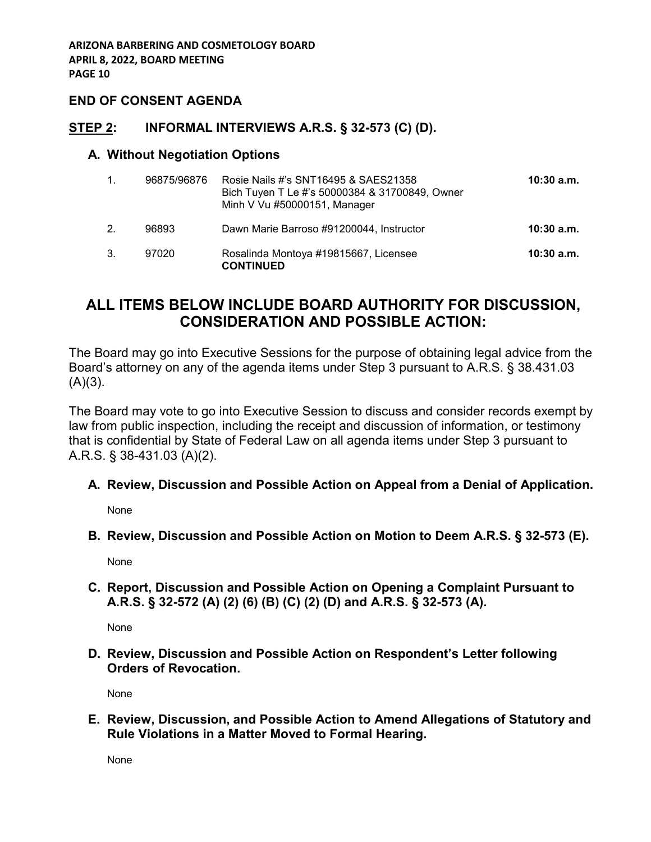#### **END OF CONSENT AGENDA**

#### **STEP 2: INFORMAL INTERVIEWS A.R.S. § 32-573 (C) (D).**

#### **A. Without Negotiation Options**

| $\mathbf{1}$ . | 96875/96876 | Rosie Nails #'s SNT16495 & SAES21358<br>Bich Tuyen T Le #'s 50000384 & 31700849, Owner<br>Minh V Vu #50000151, Manager | $10:30$ a.m. |
|----------------|-------------|------------------------------------------------------------------------------------------------------------------------|--------------|
| 2 <sub>1</sub> | 96893       | Dawn Marie Barroso #91200044, Instructor                                                                               | $10:30$ a.m. |
| 3.             | 97020       | Rosalinda Montoya #19815667, Licensee<br><b>CONTINUED</b>                                                              | $10:30$ a.m. |

# **ALL ITEMS BELOW INCLUDE BOARD AUTHORITY FOR DISCUSSION, CONSIDERATION AND POSSIBLE ACTION:**

The Board may go into Executive Sessions for the purpose of obtaining legal advice from the Board's attorney on any of the agenda items under Step 3 pursuant to A.R.S. § 38.431.03  $(A)(3)$ .

The Board may vote to go into Executive Session to discuss and consider records exempt by law from public inspection, including the receipt and discussion of information, or testimony that is confidential by State of Federal Law on all agenda items under Step 3 pursuant to A.R.S. § 38-431.03 (A)(2).

#### **A. Review, Discussion and Possible Action on Appeal from a Denial of Application.**

None

**B. Review, Discussion and Possible Action on Motion to Deem A.R.S. § 32-573 (E).**

None

**C. Report, Discussion and Possible Action on Opening a Complaint Pursuant to A.R.S. § 32-572 (A) (2) (6) (B) (C) (2) (D) and A.R.S. § 32-573 (A).**

None

**D. Review, Discussion and Possible Action on Respondent's Letter following Orders of Revocation.**

None

**E. Review, Discussion, and Possible Action to Amend Allegations of Statutory and Rule Violations in a Matter Moved to Formal Hearing.**

None